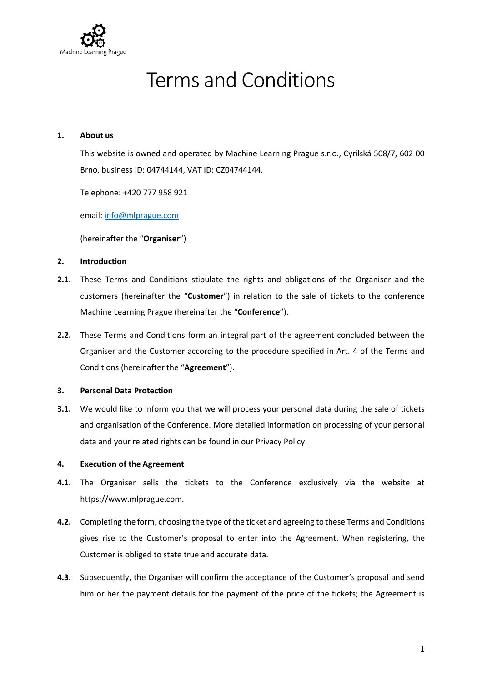

# Terms and Conditions

#### **1. About us**

This website is owned and operated by Machine Learning Prague s.r.o., Cyrilská 508/7, 602 00 Brno, business ID: 04744144, VAT ID: CZ04744144.

Telephone: +420 777 958 921

email: [info@mlprague.com](mailto:info@mlprague.com)

(hereinafter the "**Organiser**")

## **2. Introduction**

- **2.1.** These Terms and Conditions stipulate the rights and obligations of the Organiser and the customers (hereinafter the "**Customer**") in relation to the sale of tickets to the conference Machine Learning Prague (hereinafter the "**Conference**").
- **2.2.** These Terms and Conditions form an integral part of the agreement concluded between the Organiser and the Customer according to the procedure specified in Art. 4 of the Terms and Conditions (hereinafter the "**Agreement**").

## **3. Personal Data Protection**

**3.1.** We would like to inform you that we will process your personal data during the sale of tickets and organisation of the Conference. More detailed information on processing of your personal data and your related rights can be found in our Privacy Policy.

#### **4. Execution of the Agreement**

- **4.1.** The Organiser sells the tickets to the Conference exclusively via the website at https://www.mlprague.com.
- **4.2.** Completing the form, choosing the type of the ticket and agreeing to these Terms and Conditions gives rise to the Customer's proposal to enter into the Agreement. When registering, the Customer is obliged to state true and accurate data.
- **4.3.** Subsequently, the Organiser will confirm the acceptance of the Customer's proposal and send him or her the payment details for the payment of the price of the tickets; the Agreement is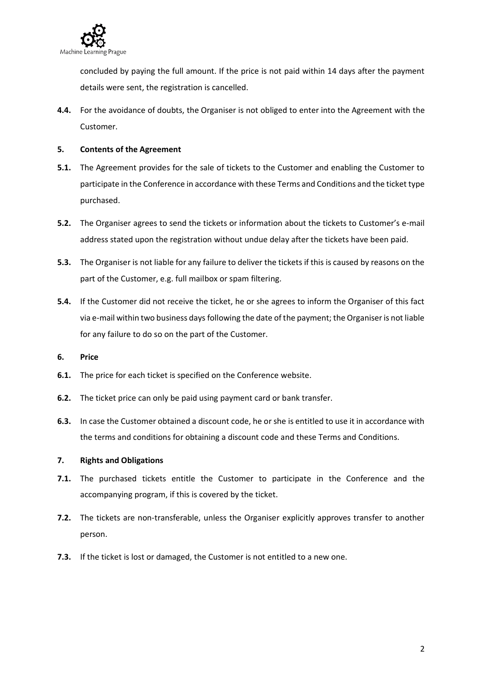

concluded by paying the full amount. If the price is not paid within 14 days after the payment details were sent, the registration is cancelled.

**4.4.** For the avoidance of doubts, the Organiser is not obliged to enter into the Agreement with the Customer.

## **5. Contents of the Agreement**

- **5.1.** The Agreement provides for the sale of tickets to the Customer and enabling the Customer to participate in the Conference in accordance with these Terms and Conditions and the ticket type purchased.
- **5.2.** The Organiser agrees to send the tickets or information about the tickets to Customer's e-mail address stated upon the registration without undue delay after the tickets have been paid.
- **5.3.** The Organiser is not liable for any failure to deliver the tickets if this is caused by reasons on the part of the Customer, e.g. full mailbox or spam filtering.
- **5.4.** If the Customer did not receive the ticket, he or she agrees to inform the Organiser of this fact via e-mail within two business days following the date of the payment; the Organiser is not liable for any failure to do so on the part of the Customer.

#### **6. Price**

- **6.1.** The price for each ticket is specified on the Conference website.
- **6.2.** The ticket price can only be paid using payment card or bank transfer.
- **6.3.** In case the Customer obtained a discount code, he or she is entitled to use it in accordance with the terms and conditions for obtaining a discount code and these Terms and Conditions.

#### **7. Rights and Obligations**

- **7.1.** The purchased tickets entitle the Customer to participate in the Conference and the accompanying program, if this is covered by the ticket.
- **7.2.** The tickets are non-transferable, unless the Organiser explicitly approves transfer to another person.
- **7.3.** If the ticket is lost or damaged, the Customer is not entitled to a new one.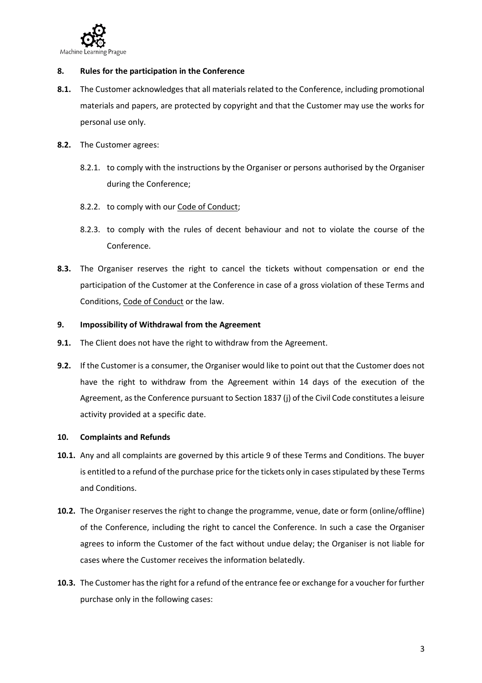

#### **8. Rules for the participation in the Conference**

- **8.1.** The Customer acknowledges that all materials related to the Conference, including promotional materials and papers, are protected by copyright and that the Customer may use the works for personal use only.
- **8.2.** The Customer agrees:
	- 8.2.1. to comply with the instructions by the Organiser or persons authorised by the Organiser during the Conference;
	- 8.2.2. to comply with our Code of [Conduct;](https://www.mlprague.com/code-of-conduct/)
	- 8.2.3. to comply with the rules of decent behaviour and not to violate the course of the Conference.
- **8.3.** The Organiser reserves the right to cancel the tickets without compensation or end the participation of the Customer at the Conference in case of a gross violation of these Terms and Conditions, Code of [Conduct](https://www.mlprague.com/code-of-conduct/) or the law.

# **9. Impossibility of Withdrawal from the Agreement**

- **9.1.** The Client does not have the right to withdraw from the Agreement.
- **9.2.** If the Customer is a consumer, the Organiser would like to point out that the Customer does not have the right to withdraw from the Agreement within 14 days of the execution of the Agreement, asthe Conference pursuant to Section 1837 (j) of the Civil Code constitutes a leisure activity provided at a specific date.

#### **10. Complaints and Refunds**

- **10.1.** Any and all complaints are governed by this article 9 of these Terms and Conditions. The buyer is entitled to a refund of the purchase price for the tickets only in cases stipulated by these Terms and Conditions.
- **10.2.** The Organiser reserves the right to change the programme, venue, date or form (online/offline) of the Conference, including the right to cancel the Conference. In such a case the Organiser agrees to inform the Customer of the fact without undue delay; the Organiser is not liable for cases where the Customer receives the information belatedly.
- **10.3.** The Customer hasthe right for a refund of the entrance fee or exchange for a voucher for further purchase only in the following cases: